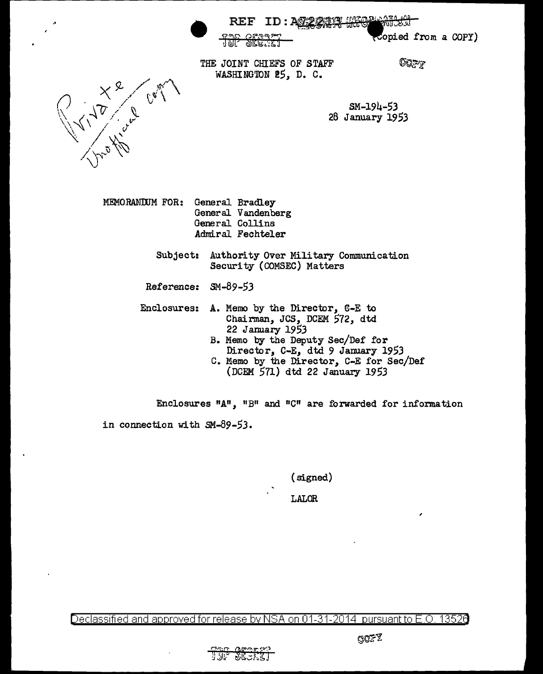

(Copied from a COPY)

THE JOINT CHIEFS OF STAFF WASHINGTON 25, D. C.

OQFF

**BRATH** 

 $SM-194-53$ 28 January 1953



MEMORANIUM FOR: General Bradley General Vandenberg General Collins Admiral Fechteler

> Subject: Authority Over Military Communication Security (COMSEC) Matters

Reference: SM-89-53

Enclosures: A. Memo by the Director,  $C-E$  to Chairman, JCS, DCEM 572, dtd 22 January 1953

- B. Memo by the Deputy Sec/Def for Director, C-E, dtd 9 January 1953
- c. Memo by the Director, C-E for Sec/Def (DCEM 571) dtd 22 January 1953

Enclosures  $^nA^n$ ,  $^nB^n$  and  $^nC^n$  are forwarded for information in connection with SM-89-53.

(signed)

LALOR

Declassified and approved for release by NSA on 01-31-2014 pursuantto E.O. 1352a

,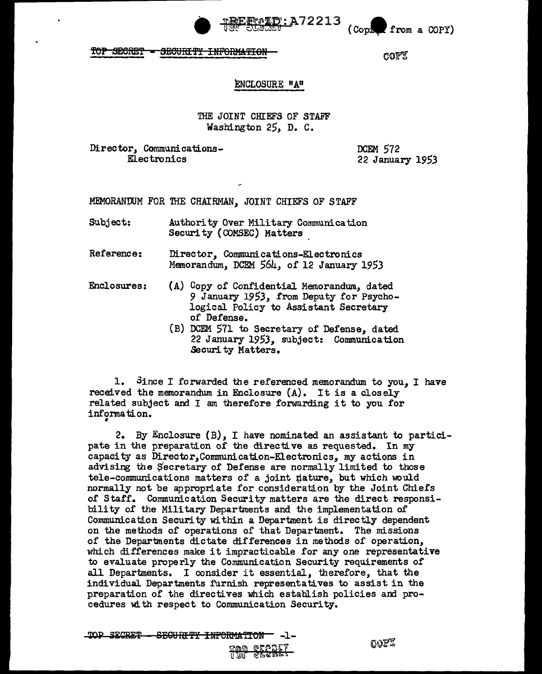

 $\mathcal C$ Coph from a COPY)

TOP SECRET <del>-SECURITY INFORMATION</del>

COPY

### ENCLOSURE "A"

## THE JOINT CHIEFS OF STAFF Washington 25, D. C.

Director, Communications-Electronics

**DCEM 572** 22 January 1953

MEMORANDUM FOR THE CHAIRMAN, JOINT CHIEFS OF STAFF

- Subject: Authority Over Military Communication Security (COMSEC) Matters
- Reference: Director, Communications-Electronics Memorandum, DCEM 564, of 12 January 1953
- Enclosures: (A) Copy of Confidential Memorandum, dated 9 January 1953, from Deputy for Psychological Policy to Assistant Secretary of Defense.
	- (B) DCEM 571 to Secretary of Defense, dated 22 January 1953, subject: Communication Security Matters.

1. Since I forwarded the referenced memorandum to you. I have received the memorandum in Enclosure (A). It is a closely related subject and I am therefore forwarding it to you for information.

2. By Enclosure (B), I have nominated an assistant to participate in the preparation of the directive as requested. In my capacity as Director. Communication-Electronics, my actions in advising the Secretary of Defense are normally limited to those tele-communications matters of a joint nature, but which would normally not be appropriate for consideration by the Joint Chiefs of Staff. Communication Security matters are the direct responsibility of the Military Departments and the implementation of Communication Security within a Department is directly dependent on the methods of operations of that Department. The missions of the Departments dictate differences in methods of operation, which differences make it impracticable for any one representative to evaluate properly the Communication Security requirements of all Departments. I consider it essential, therefore, that the individual Departments furnish representatives to assist in the preparation of the directives which establish policies and procedures with respect to Communication Security.

TOP SECRET - SECURITY INFORMATION - -1-

oopz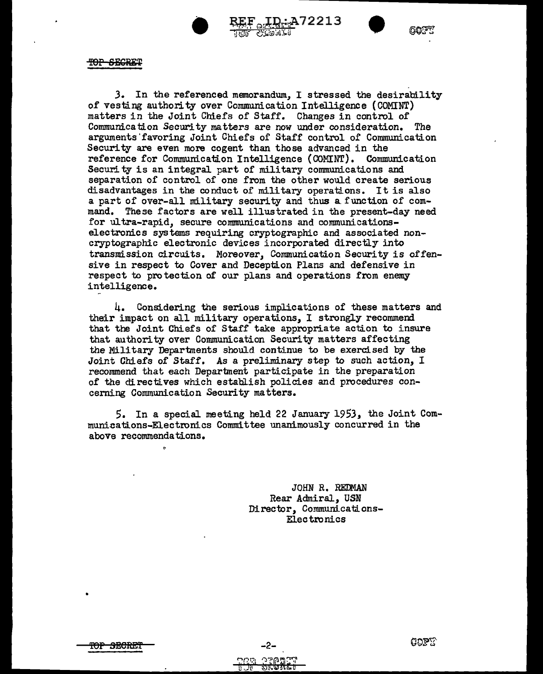

 $\overbrace{\text{RRF}_{\text{GGGAGI}}}^{\text{RRF}}$ 



Car

TOP SECRET

*3.* In the referenced memorandum, I stressed the desirability or vesting authority over Communication Intelligence (COMINT) matters in the Joint Chiefs of Staff. Changes in control of Communication Security matters are now under consideration. The arguments'favoring Joint Chiefs of Staff control of Communication Security are even more cogent than those advanced in the reference for Communication Intelligence (COMINT). Communication Security is an integral part of military communications and separation of control of one from the other would create serious disadvantages in the conduct of military operations. It is also a part of over-all military security and thus a function of command. These factors are well illustrated in the present-day need for ultra-rapid, secure communications and communicationselectronics systems requiring cryptographic and associated noncryptographic electronic devices incorporated directly into transmission circuits. Moreover, Communication Security is offensive in respect to Cover and Deception Plans and defensive in respect to protection of our plans and operations from enemy intelligence.

4. Considering the serious implications of these matters and their impact on all military operations, I strongly recommend that the Joint Chiefs of Staff take appropriate action to insure that authority over Communication Security matters affecting the Military Departments should continue to be exercised by the Joint Chiefs of Staff. As a preliminary step to such action, I recommend that each Department participate in the preparation *of* the directives which establish policies and procedures concerning Communication Security matters.

5. In a special meeting held 22 January 1953, the Joint Communications-Electronics Committee unanimously concurred in the above recommendations.

> JOHN R. REDMAN Rear Admiral, USN Director, Communications-Electronics

•

-2-**OZA:**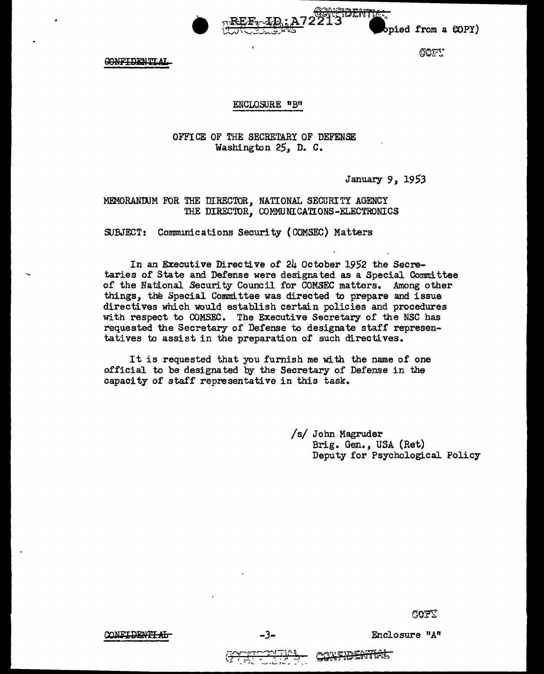

bpied from a COPY)

COFT

**CONFIDENTIAL** 

## ENCLOSURE "B"

# OFFICE OF THE SECRETARY OF DEFENSE Washington 25, D. C.

January *9,* 19 53

MEMORANDJM FOR THE filRECTOR, NATIONAL SECURITY AGENCY THE DIRECTOR, COMMUNICATIONS-ELECTRONICS

SUBJECT: Communications Security ( COMSEC) Matters

In an Executive Directive of 24 October 1952 the Secretaries of State and Defense were designated as a Special Committee of the National Security Council for COMSEC matters. Among other things, the Special Committee was directed to prepare and issue directives which would establish certain policies and procedures with respect to COMSEC. The Executive Secretary of the NSC has requested the Secretary of Defense to designate staff representatives to assist in the preparation of such directives.

It is requested that you furnish me with the name of one official to be designated by the Secretary of Defense in the capacity of staff representative in this task.

> /s/ John Magruder Brig. Gen., USA (Ret) Deputy for Psychological. Policy

> > ೧೦೯೮

CONET DENT'T AT

*-3-* Enclosure "A"